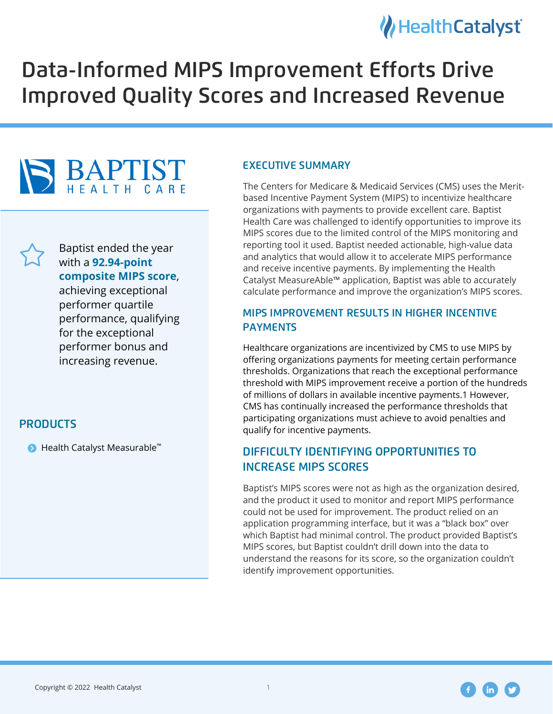### HealthCatalyst

# Data-Informed MIPS Improvement Efforts Drive Improved Quality Scores and Increased Revenue





Baptist ended the year with a **92.94-point composite MIPS score**,

achieving exceptional performer quartile performance, qualifying for the exceptional performer bonus and increasing revenue.

#### **PRODUCTS**

 $\bullet$  Health Catalyst Measurable<sup>™</sup>

#### **EXECUTIVE SUMMARY**

The Centers for Medicare & Medicaid Services (CMS) uses the Meritbased Incentive Payment System (MIPS) to incentivize healthcare organizations with payments to provide excellent care. Baptist Health Care was challenged to identify opportunities to improve its MIPS scores due to the limited control of the MIPS monitoring and reporting tool it used. Baptist needed actionable, high-value data and analytics that would allow it to accelerate MIPS performance and receive incentive payments. By implementing the Health Catalyst MeasureAble™ application, Baptist was able to accurately calculate performance and improve the organization's MIPS scores.

## MIPS IMPROVEMENT RESULTS IN HIGHER INCENTIVE PAYMENTS

Healthcare organizations are incentivized by CMS to use MIPS by offering organizations payments for meeting certain performance thresholds. Organizations that reach the exceptional performance threshold with MIPS improvement receive a portion of the hundreds of millions of dollars in available incentive payments.1 However, CMS has continually increased the performance thresholds that participating organizations must achieve to avoid penalties and qualify for incentive payments.

## DIFFICULTY IDENTIFYING OPPORTUNITIES TO INCREASE MIPS SCORES

Baptist's MIPS scores were not as high as the organization desired, and the product it used to monitor and report MIPS performance could not be used for improvement. The product relied on an application programming interface, but it was a "black box" over which Baptist had minimal control. The product provided Baptist's MIPS scores, but Baptist couldn't drill down into the data to understand the reasons for its score, so the organization couldn't identify improvement opportunities.

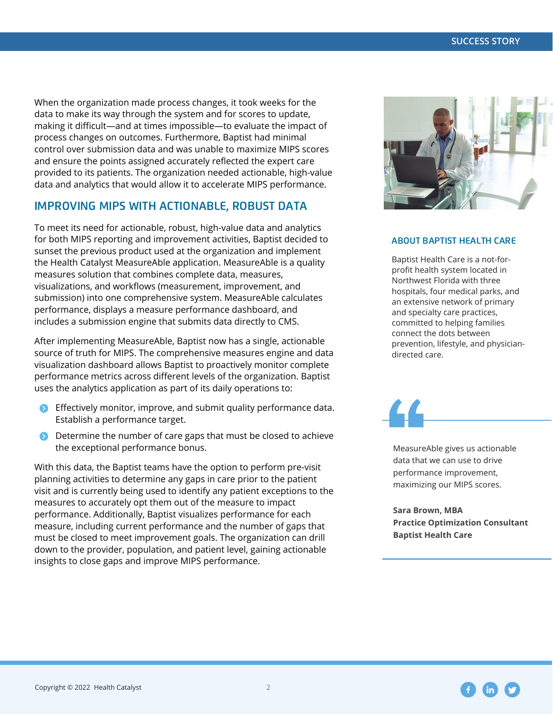When the organization made process changes, it took weeks for the data to make its way through the system and for scores to update, making it difficult—and at times impossible—to evaluate the impact of process changes on outcomes. Furthermore, Baptist had minimal control over submission data and was unable to maximize MIPS scores and ensure the points assigned accurately reflected the expert care provided to its patients. The organization needed actionable, high-value data and analytics that would allow it to accelerate MIPS performance.

#### IMPROVING MIPS WITH ACTIONABLE, ROBUST DATA

To meet its need for actionable, robust, high-value data and analytics for both MIPS reporting and improvement activities, Baptist decided to sunset the previous product used at the organization and implement the Health Catalyst MeasureAble application. MeasureAble is a quality measures solution that combines complete data, measures, visualizations, and workflows (measurement, improvement, and submission) into one comprehensive system. MeasureAble calculates performance, displays a measure performance dashboard, and includes a submission engine that submits data directly to CMS.

After implementing MeasureAble, Baptist now has a single, actionable source of truth for MIPS. The comprehensive measures engine and data visualization dashboard allows Baptist to proactively monitor complete performance metrics across different levels of the organization. Baptist uses the analytics application as part of its daily operations to:

- **•** Effectively monitor, improve, and submit quality performance data. Establish a performance target.
- **•** Determine the number of care gaps that must be closed to achieve the exceptional performance bonus.

With this data, the Baptist teams have the option to perform pre-visit planning activities to determine any gaps in care prior to the patient visit and is currently being used to identify any patient exceptions to the measures to accurately opt them out of the measure to impact performance. Additionally, Baptist visualizes performance for each measure, including current performance and the number of gaps that must be closed to meet improvement goals. The organization can drill down to the provider, population, and patient level, gaining actionable insights to close gaps and improve MIPS performance.



#### **ABOUT BAPTIST HEALTH CARE**

Baptist Health Care is a not-forprofit health system located in Northwest Florida with three hospitals, four medical parks, and an extensive network of primary and specialty care practices, committed to helping families connect the dots between prevention, lifestyle, and physiciandirected care.

MeasureAble gives us actionable data that we can use to drive performance improvement, maximizing our MIPS scores.

**Sara Brown, MBA Practice Optimization Consultant Baptist Health Care**

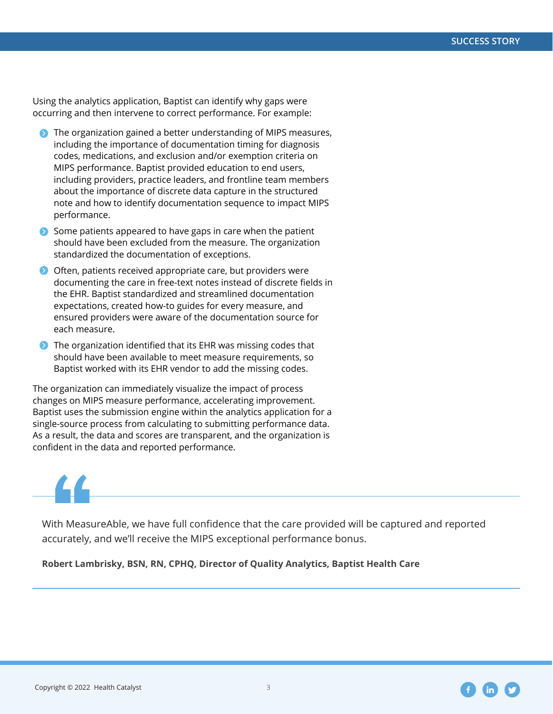Using the analytics application, Baptist can identify why gaps were occurring and then intervene to correct performance. For example:

- **•** The organization gained a better understanding of MIPS measures, including the importance of documentation timing for diagnosis codes, medications, and exclusion and/or exemption criteria on MIPS performance. Baptist provided education to end users, including providers, practice leaders, and frontline team members about the importance of discrete data capture in the structured note and how to identify documentation sequence to impact MIPS performance.
- Some patients appeared to have gaps in care when the patient should have been excluded from the measure. The organization standardized the documentation of exceptions.
- **•** Often, patients received appropriate care, but providers were documenting the care in free-text notes instead of discrete fields in the EHR. Baptist standardized and streamlined documentation expectations, created how-to guides for every measure, and ensured providers were aware of the documentation source for each measure.
- $\bullet$  The organization identified that its EHR was missing codes that should have been available to meet measure requirements, so Baptist worked with its EHR vendor to add the missing codes.

The organization can immediately visualize the impact of process changes on MIPS measure performance, accelerating improvement. Baptist uses the submission engine within the analytics application for a single-source process from calculating to submitting performance data. As a result, the data and scores are transparent, and the organization is confident in the data and reported performance.



With MeasureAble, we have full confidence that the care provided will be captured and reported accurately, and we'll receive the MIPS exceptional performance bonus.

**Robert Lambrisky, BSN, RN, CPHQ, Director of Quality Analytics, Baptist Health Care**

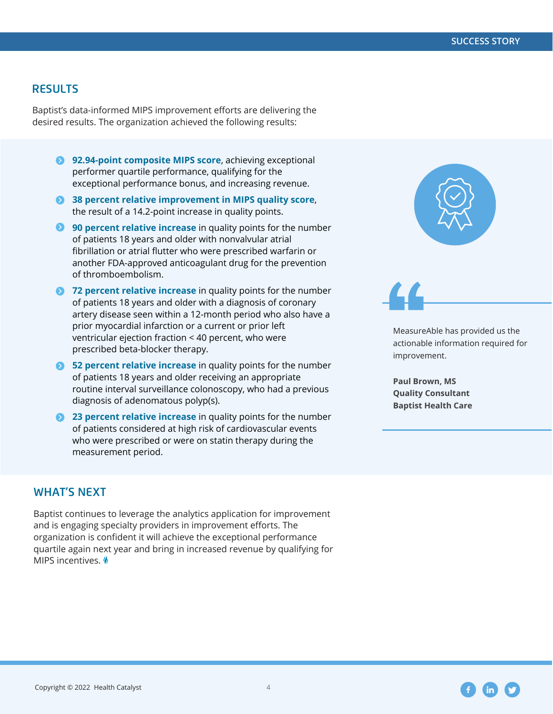#### **RESULTS**

Baptist's data-informed MIPS improvement efforts are delivering the desired results. The organization achieved the following results:

- **8** 92.94-point composite MIPS score, achieving exceptional performer quartile performance, qualifying for the exceptional performance bonus, and increasing revenue.
- **38 percent relative improvement in MIPS quality score,** the result of a 14.2-point increase in quality points.
- **90 percent relative increase** in quality points for the number of patients 18 years and older with nonvalvular atrial fibrillation or atrial flutter who were prescribed warfarin or another FDA-approved anticoagulant drug for the prevention of thromboembolism.
- **72 percent relative increase** in quality points for the number of patients 18 years and older with a diagnosis of coronary artery disease seen within a 12-month period who also have a prior myocardial infarction or a current or prior left ventricular ejection fraction < 40 percent, who were prescribed beta-blocker therapy.
- **52 percent relative increase** in quality points for the number of patients 18 years and older receiving an appropriate routine interval surveillance colonoscopy, who had a previous diagnosis of adenomatous polyp(s).
- **23 percent relative increase** in quality points for the number of patients considered at high risk of cardiovascular events who were prescribed or were on statin therapy during the measurement period.

#### **WHAT'S NEXT**

Baptist continues to leverage the analytics application for improvement and is engaging specialty providers in improvement efforts. The organization is confident it will achieve the exceptional performance quartile again next year and bring in increased revenue by qualifying for MIPS incentives. W





actionable information required for improvement.

**Paul Brown, MS Quality Consultant Baptist Health Care**